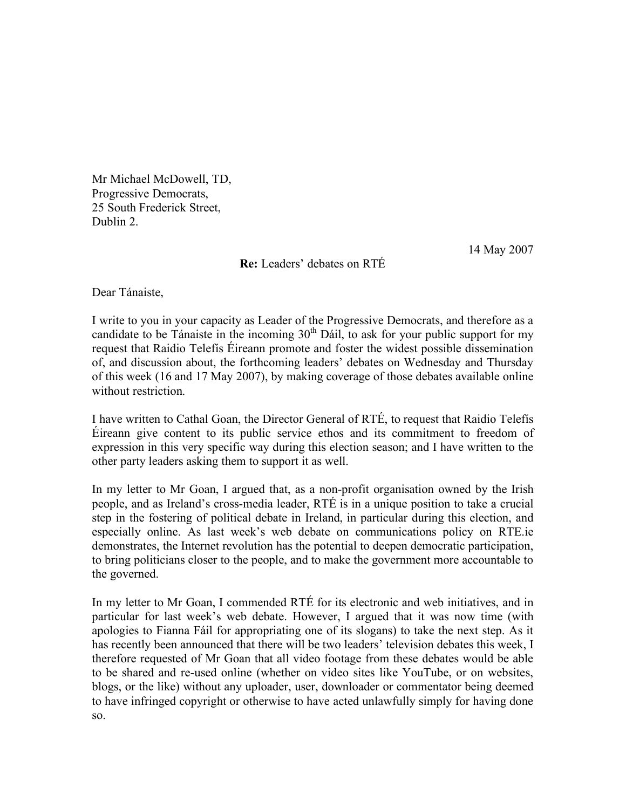Mr Michael McDowell, TD, Progressive Democrats, 25 South Frederick Street, Dublin 2.

14 May 2007

**Re:** Leaders' debates on RTÉ

Dear Tánaiste,

I write to you in your capacity as Leader of the Progressive Democrats, and therefore as a candidate to be Tánaiste in the incoming  $30<sup>th</sup>$  Dáil, to ask for your public support for my request that Raidio Telefís Éireann promote and foster the widest possible dissemination of, and discussion about, the forthcoming leaders' debates on Wednesday and Thursday of this week (16 and 17 May 2007), by making coverage of those debates available online without restriction.

I have written to Cathal Goan, the Director General of RTÉ, to request that Raidio Telefís Éireann give content to its public service ethos and its commitment to freedom of expression in this very specific way during this election season; and I have written to the other party leaders asking them to support it as well.

In my letter to Mr Goan, I argued that, as a non-profit organisation owned by the Irish people, and as Ireland's cross-media leader, RTÉ is in a unique position to take a crucial step in the fostering of political debate in Ireland, in particular during this election, and especially online. As last week's web debate on communications policy on RTE.ie demonstrates, the Internet revolution has the potential to deepen democratic participation, to bring politicians closer to the people, and to make the government more accountable to the governed.

In my letter to Mr Goan, I commended RTÉ for its electronic and web initiatives, and in particular for last week's web debate. However, I argued that it was now time (with apologies to Fianna Fáil for appropriating one of its slogans) to take the next step. As it has recently been announced that there will be two leaders' television debates this week, I therefore requested of Mr Goan that all video footage from these debates would be able to be shared and re-used online (whether on video sites like YouTube, or on websites, blogs, or the like) without any uploader, user, downloader or commentator being deemed to have infringed copyright or otherwise to have acted unlawfully simply for having done so.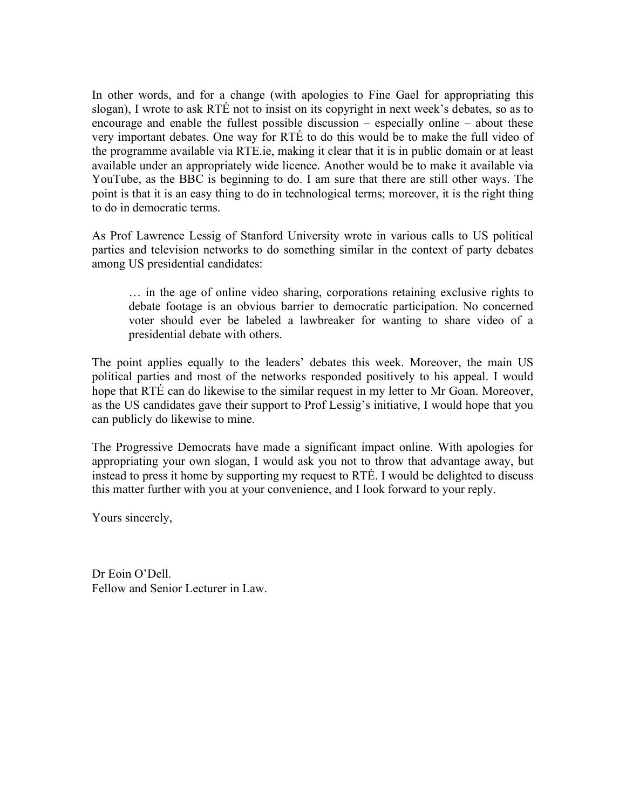In other words, and for a change (with apologies to Fine Gael for appropriating this slogan), I wrote to ask RTÉ not to insist on its copyright in next week's debates, so as to encourage and enable the fullest possible discussion – especially online – about these very important debates. One way for RTÉ to do this would be to make the full video of the programme available via RTE.ie, making it clear that it is in public domain or at least available under an appropriately wide licence. Another would be to make it available via YouTube, as the BBC is beginning to do. I am sure that there are still other ways. The point is that it is an easy thing to do in technological terms; moreover, it is the right thing to do in democratic terms.

As Prof Lawrence Lessig of Stanford University wrote in various calls to US political parties and television networks to do something similar in the context of party debates among US presidential candidates:

… in the age of online video sharing, corporations retaining exclusive rights to debate footage is an obvious barrier to democratic participation. No concerned voter should ever be labeled a lawbreaker for wanting to share video of a presidential debate with others.

The point applies equally to the leaders' debates this week. Moreover, the main US political parties and most of the networks responded positively to his appeal. I would hope that RTÉ can do likewise to the similar request in my letter to Mr Goan. Moreover, as the US candidates gave their support to Prof Lessig's initiative, I would hope that you can publicly do likewise to mine.

The Progressive Democrats have made a significant impact online. With apologies for appropriating your own slogan, I would ask you not to throw that advantage away, but instead to press it home by supporting my request to RTÉ. I would be delighted to discuss this matter further with you at your convenience, and I look forward to your reply.

Yours sincerely,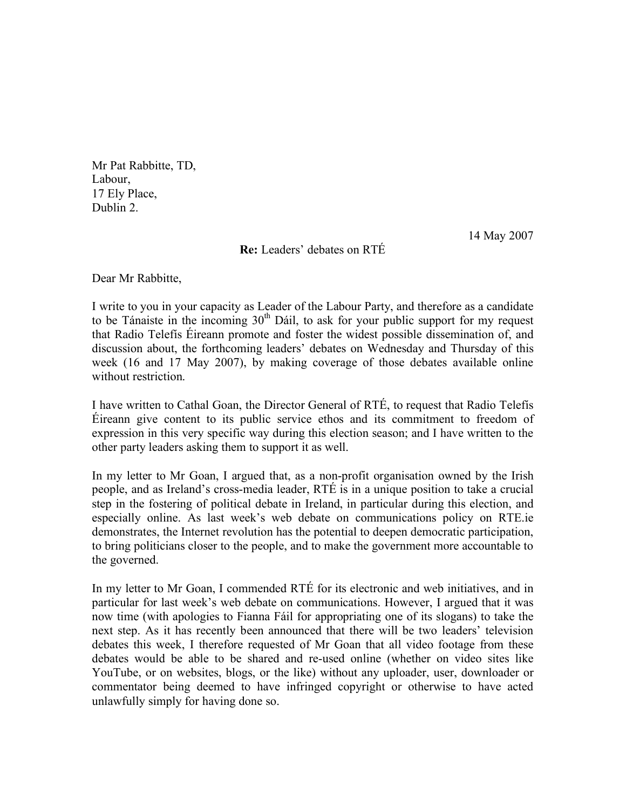Mr Pat Rabbitte, TD, Labour, 17 Ely Place, Dublin 2.

14 May 2007

**Re:** Leaders' debates on RTÉ

Dear Mr Rabbitte,

I write to you in your capacity as Leader of the Labour Party, and therefore as a candidate to be Tánaiste in the incoming  $30<sup>th</sup>$  Dáil, to ask for your public support for my request that Radio Telefís Éireann promote and foster the widest possible dissemination of, and discussion about, the forthcoming leaders' debates on Wednesday and Thursday of this week (16 and 17 May 2007), by making coverage of those debates available online without restriction.

I have written to Cathal Goan, the Director General of RTÉ, to request that Radio Telefís Éireann give content to its public service ethos and its commitment to freedom of expression in this very specific way during this election season; and I have written to the other party leaders asking them to support it as well.

In my letter to Mr Goan, I argued that, as a non-profit organisation owned by the Irish people, and as Ireland's cross-media leader, RTÉ is in a unique position to take a crucial step in the fostering of political debate in Ireland, in particular during this election, and especially online. As last week's web debate on communications policy on RTE.ie demonstrates, the Internet revolution has the potential to deepen democratic participation, to bring politicians closer to the people, and to make the government more accountable to the governed.

In my letter to Mr Goan, I commended RTÉ for its electronic and web initiatives, and in particular for last week's web debate on communications. However, I argued that it was now time (with apologies to Fianna Fáil for appropriating one of its slogans) to take the next step. As it has recently been announced that there will be two leaders' television debates this week, I therefore requested of Mr Goan that all video footage from these debates would be able to be shared and re-used online (whether on video sites like YouTube, or on websites, blogs, or the like) without any uploader, user, downloader or commentator being deemed to have infringed copyright or otherwise to have acted unlawfully simply for having done so.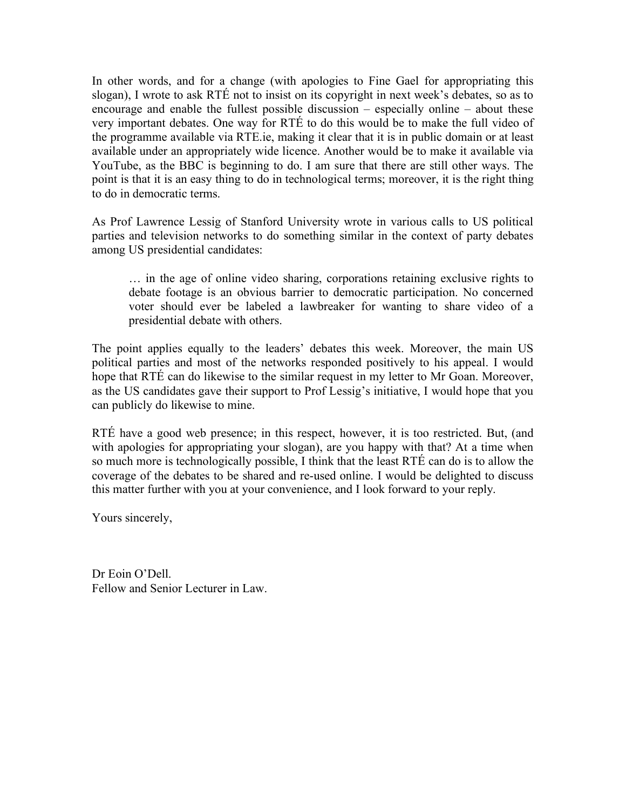In other words, and for a change (with apologies to Fine Gael for appropriating this slogan), I wrote to ask RTÉ not to insist on its copyright in next week's debates, so as to encourage and enable the fullest possible discussion – especially online – about these very important debates. One way for RTÉ to do this would be to make the full video of the programme available via RTE.ie, making it clear that it is in public domain or at least available under an appropriately wide licence. Another would be to make it available via YouTube, as the BBC is beginning to do. I am sure that there are still other ways. The point is that it is an easy thing to do in technological terms; moreover, it is the right thing to do in democratic terms.

As Prof Lawrence Lessig of Stanford University wrote in various calls to US political parties and television networks to do something similar in the context of party debates among US presidential candidates:

… in the age of online video sharing, corporations retaining exclusive rights to debate footage is an obvious barrier to democratic participation. No concerned voter should ever be labeled a lawbreaker for wanting to share video of a presidential debate with others.

The point applies equally to the leaders' debates this week. Moreover, the main US political parties and most of the networks responded positively to his appeal. I would hope that RTÉ can do likewise to the similar request in my letter to Mr Goan. Moreover, as the US candidates gave their support to Prof Lessig's initiative, I would hope that you can publicly do likewise to mine.

RTÉ have a good web presence; in this respect, however, it is too restricted. But, (and with apologies for appropriating your slogan), are you happy with that? At a time when so much more is technologically possible, I think that the least RTÉ can do is to allow the coverage of the debates to be shared and re-used online. I would be delighted to discuss this matter further with you at your convenience, and I look forward to your reply.

Yours sincerely,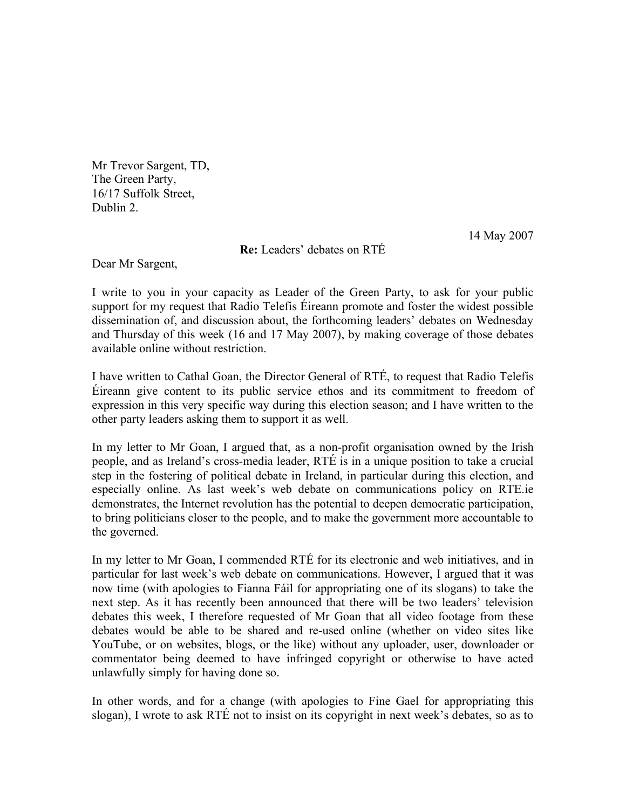Mr Trevor Sargent, TD, The Green Party, 16/17 Suffolk Street, Dublin 2.

14 May 2007

**Re:** Leaders' debates on RTÉ

Dear Mr Sargent,

I write to you in your capacity as Leader of the Green Party, to ask for your public support for my request that Radio Telefís Éireann promote and foster the widest possible dissemination of, and discussion about, the forthcoming leaders' debates on Wednesday and Thursday of this week (16 and 17 May 2007), by making coverage of those debates available online without restriction.

I have written to Cathal Goan, the Director General of RTÉ, to request that Radio Telefís Éireann give content to its public service ethos and its commitment to freedom of expression in this very specific way during this election season; and I have written to the other party leaders asking them to support it as well.

In my letter to Mr Goan, I argued that, as a non-profit organisation owned by the Irish people, and as Ireland's cross-media leader, RTÉ is in a unique position to take a crucial step in the fostering of political debate in Ireland, in particular during this election, and especially online. As last week's web debate on communications policy on RTE.ie demonstrates, the Internet revolution has the potential to deepen democratic participation, to bring politicians closer to the people, and to make the government more accountable to the governed.

In my letter to Mr Goan, I commended RTÉ for its electronic and web initiatives, and in particular for last week's web debate on communications. However, I argued that it was now time (with apologies to Fianna Fáil for appropriating one of its slogans) to take the next step. As it has recently been announced that there will be two leaders' television debates this week, I therefore requested of Mr Goan that all video footage from these debates would be able to be shared and re-used online (whether on video sites like YouTube, or on websites, blogs, or the like) without any uploader, user, downloader or commentator being deemed to have infringed copyright or otherwise to have acted unlawfully simply for having done so.

In other words, and for a change (with apologies to Fine Gael for appropriating this slogan), I wrote to ask RTÉ not to insist on its copyright in next week's debates, so as to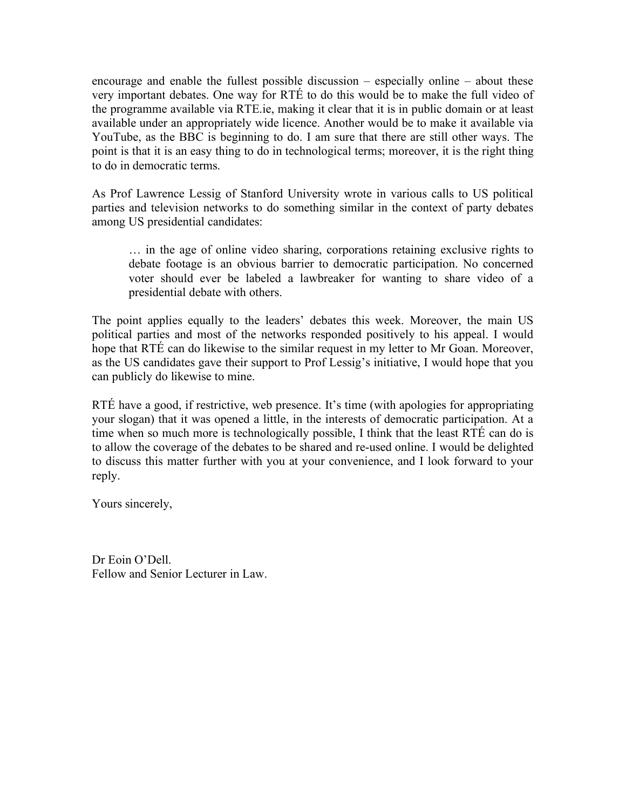encourage and enable the fullest possible discussion – especially online – about these very important debates. One way for RTÉ to do this would be to make the full video of the programme available via RTE.ie, making it clear that it is in public domain or at least available under an appropriately wide licence. Another would be to make it available via YouTube, as the BBC is beginning to do. I am sure that there are still other ways. The point is that it is an easy thing to do in technological terms; moreover, it is the right thing to do in democratic terms.

As Prof Lawrence Lessig of Stanford University wrote in various calls to US political parties and television networks to do something similar in the context of party debates among US presidential candidates:

… in the age of online video sharing, corporations retaining exclusive rights to debate footage is an obvious barrier to democratic participation. No concerned voter should ever be labeled a lawbreaker for wanting to share video of a presidential debate with others.

The point applies equally to the leaders' debates this week. Moreover, the main US political parties and most of the networks responded positively to his appeal. I would hope that RTÉ can do likewise to the similar request in my letter to Mr Goan. Moreover, as the US candidates gave their support to Prof Lessig's initiative, I would hope that you can publicly do likewise to mine.

RTÉ have a good, if restrictive, web presence. It's time (with apologies for appropriating your slogan) that it was opened a little, in the interests of democratic participation. At a time when so much more is technologically possible, I think that the least RTÉ can do is to allow the coverage of the debates to be shared and re-used online. I would be delighted to discuss this matter further with you at your convenience, and I look forward to your reply.

Yours sincerely,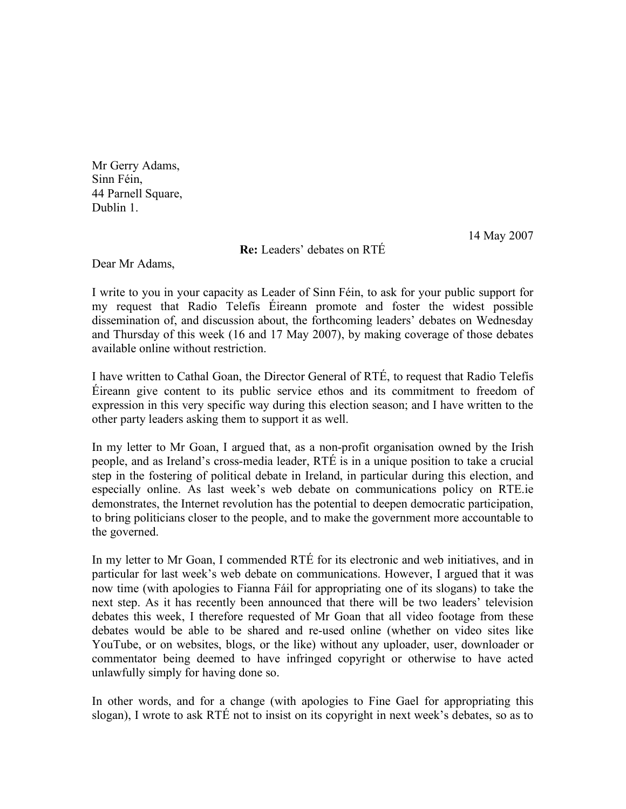Mr Gerry Adams, Sinn Féin, 44 Parnell Square, Dublin 1.

14 May 2007

**Re:** Leaders' debates on RTÉ

Dear Mr Adams,

I write to you in your capacity as Leader of Sinn Féin, to ask for your public support for my request that Radio Telefís Éireann promote and foster the widest possible dissemination of, and discussion about, the forthcoming leaders' debates on Wednesday and Thursday of this week (16 and 17 May 2007), by making coverage of those debates available online without restriction.

I have written to Cathal Goan, the Director General of RTÉ, to request that Radio Telefís Éireann give content to its public service ethos and its commitment to freedom of expression in this very specific way during this election season; and I have written to the other party leaders asking them to support it as well.

In my letter to Mr Goan, I argued that, as a non-profit organisation owned by the Irish people, and as Ireland's cross-media leader, RTÉ is in a unique position to take a crucial step in the fostering of political debate in Ireland, in particular during this election, and especially online. As last week's web debate on communications policy on RTE.ie demonstrates, the Internet revolution has the potential to deepen democratic participation, to bring politicians closer to the people, and to make the government more accountable to the governed.

In my letter to Mr Goan, I commended RTÉ for its electronic and web initiatives, and in particular for last week's web debate on communications. However, I argued that it was now time (with apologies to Fianna Fáil for appropriating one of its slogans) to take the next step. As it has recently been announced that there will be two leaders' television debates this week, I therefore requested of Mr Goan that all video footage from these debates would be able to be shared and re-used online (whether on video sites like YouTube, or on websites, blogs, or the like) without any uploader, user, downloader or commentator being deemed to have infringed copyright or otherwise to have acted unlawfully simply for having done so.

In other words, and for a change (with apologies to Fine Gael for appropriating this slogan), I wrote to ask RTÉ not to insist on its copyright in next week's debates, so as to